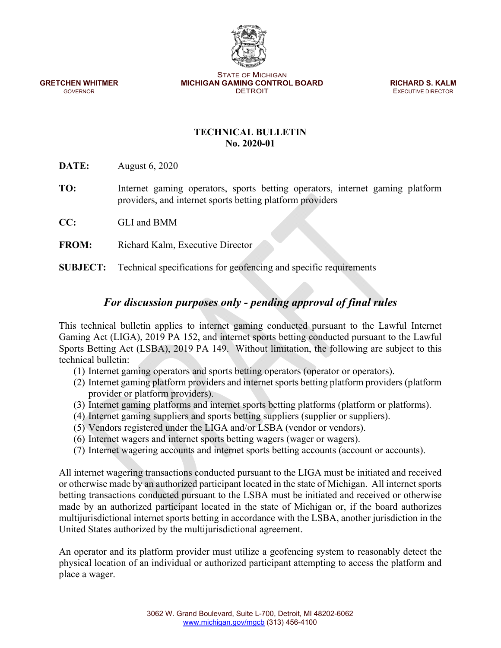STATE OF MICHIGAN **GRETCHEN WHITMER MICHIGAN GAMING CONTROL BOARD <b>RICHARD S. KALM GOVERNOR GOVERNOR CONTROL BOARD EXECUTIVE DIRECTOR** 

**EXECUTIVE DIRECTOR** 

# **TECHNICAL BULLETIN No. 2020-01**

**DATE:** August 6, 2020

- **TO:** Internet gaming operators, sports betting operators, internet gaming platform providers, and internet sports betting platform providers
- **CC:** GLI and BMM
- **FROM:** Richard Kalm, Executive Director

**SUBJECT:** Technical specifications for geofencing and specific requirements

# *For discussion purposes only - pending approval of final rules*

This technical bulletin applies to internet gaming conducted pursuant to the Lawful Internet Gaming Act (LIGA), 2019 PA 152, and internet sports betting conducted pursuant to the Lawful Sports Betting Act (LSBA), 2019 PA 149. Without limitation, the following are subject to this technical bulletin:

- (1) Internet gaming operators and sports betting operators (operator or operators).
- (2) Internet gaming platform providers and internet sports betting platform providers (platform provider or platform providers).
- (3) Internet gaming platforms and internet sports betting platforms (platform or platforms).
- (4) Internet gaming suppliers and sports betting suppliers (supplier or suppliers).
- (5) Vendors registered under the LIGA and/or LSBA (vendor or vendors).
- (6) Internet wagers and internet sports betting wagers (wager or wagers).
- (7) Internet wagering accounts and internet sports betting accounts (account or accounts).

All internet wagering transactions conducted pursuant to the LIGA must be initiated and received or otherwise made by an authorized participant located in the state of Michigan. All internet sports betting transactions conducted pursuant to the LSBA must be initiated and received or otherwise made by an authorized participant located in the state of Michigan or, if the board authorizes multijurisdictional internet sports betting in accordance with the LSBA, another jurisdiction in the United States authorized by the multijurisdictional agreement.

An operator and its platform provider must utilize a geofencing system to reasonably detect the physical location of an individual or authorized participant attempting to access the platform and place a wager.

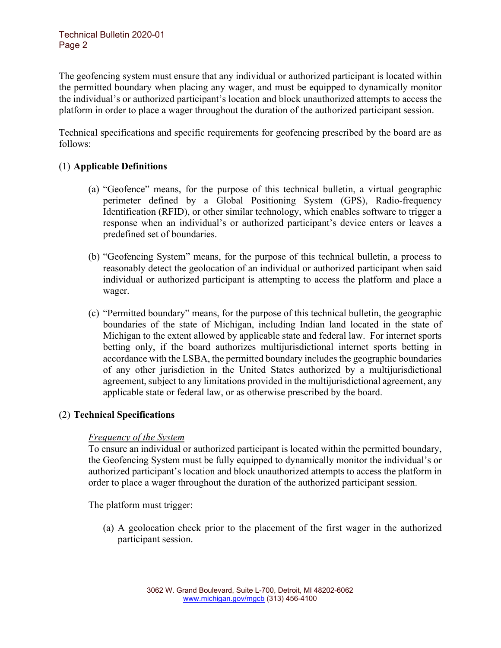The geofencing system must ensure that any individual or authorized participant is located within the permitted boundary when placing any wager, and must be equipped to dynamically monitor the individual's or authorized participant's location and block unauthorized attempts to access the platform in order to place a wager throughout the duration of the authorized participant session.

Technical specifications and specific requirements for geofencing prescribed by the board are as follows:

# (1) **Applicable Definitions**

- (a) "Geofence" means, for the purpose of this technical bulletin, a virtual geographic perimeter defined by a Global Positioning System (GPS), Radio-frequency Identification (RFID), or other similar technology, which enables software to trigger a response when an individual's or authorized participant's device enters or leaves a predefined set of boundaries.
- (b) "Geofencing System" means, for the purpose of this technical bulletin, a process to reasonably detect the geolocation of an individual or authorized participant when said individual or authorized participant is attempting to access the platform and place a wager.
- (c) "Permitted boundary" means, for the purpose of this technical bulletin, the geographic boundaries of the state of Michigan, including Indian land located in the state of Michigan to the extent allowed by applicable state and federal law. For internet sports betting only, if the board authorizes multijurisdictional internet sports betting in accordance with the LSBA, the permitted boundary includes the geographic boundaries of any other jurisdiction in the United States authorized by a multijurisdictional agreement, subject to any limitations provided in the multijurisdictional agreement, any applicable state or federal law, or as otherwise prescribed by the board.

# (2) **Technical Specifications**

# *Frequency of the System*

To ensure an individual or authorized participant is located within the permitted boundary, the Geofencing System must be fully equipped to dynamically monitor the individual's or authorized participant's location and block unauthorized attempts to access the platform in order to place a wager throughout the duration of the authorized participant session.

The platform must trigger:

(a) A geolocation check prior to the placement of the first wager in the authorized participant session.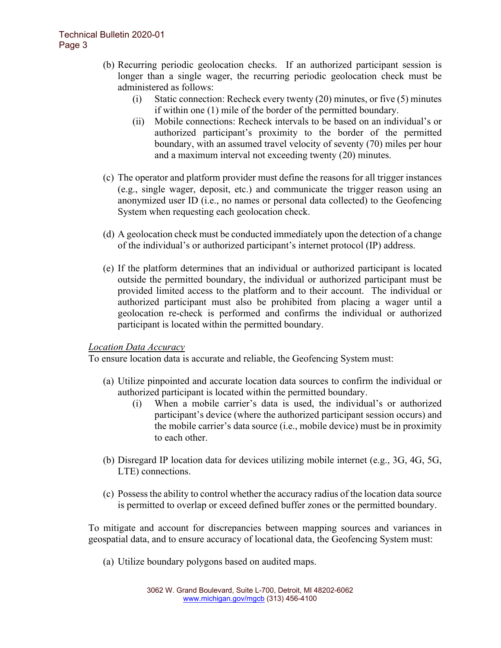- (b) Recurring periodic geolocation checks. If an authorized participant session is longer than a single wager, the recurring periodic geolocation check must be administered as follows:
	- (i) Static connection: Recheck every twenty (20) minutes, or five (5) minutes if within one (1) mile of the border of the permitted boundary.
	- (ii) Mobile connections: Recheck intervals to be based on an individual's or authorized participant's proximity to the border of the permitted boundary, with an assumed travel velocity of seventy (70) miles per hour and a maximum interval not exceeding twenty (20) minutes.
- (c) The operator and platform provider must define the reasons for all trigger instances (e.g., single wager, deposit, etc.) and communicate the trigger reason using an anonymized user ID (i.e., no names or personal data collected) to the Geofencing System when requesting each geolocation check.
- (d) A geolocation check must be conducted immediately upon the detection of a change of the individual's or authorized participant's internet protocol (IP) address.
- (e) If the platform determines that an individual or authorized participant is located outside the permitted boundary, the individual or authorized participant must be provided limited access to the platform and to their account. The individual or authorized participant must also be prohibited from placing a wager until a geolocation re-check is performed and confirms the individual or authorized participant is located within the permitted boundary.

# *Location Data Accuracy*

To ensure location data is accurate and reliable, the Geofencing System must:

- (a) Utilize pinpointed and accurate location data sources to confirm the individual or authorized participant is located within the permitted boundary.
	- (i) When a mobile carrier's data is used, the individual's or authorized participant's device (where the authorized participant session occurs) and the mobile carrier's data source (i.e., mobile device) must be in proximity to each other.
- (b) Disregard IP location data for devices utilizing mobile internet (e.g., 3G, 4G, 5G, LTE) connections.
- (c) Possess the ability to control whether the accuracy radius of the location data source is permitted to overlap or exceed defined buffer zones or the permitted boundary.

To mitigate and account for discrepancies between mapping sources and variances in geospatial data, and to ensure accuracy of locational data, the Geofencing System must:

(a) Utilize boundary polygons based on audited maps.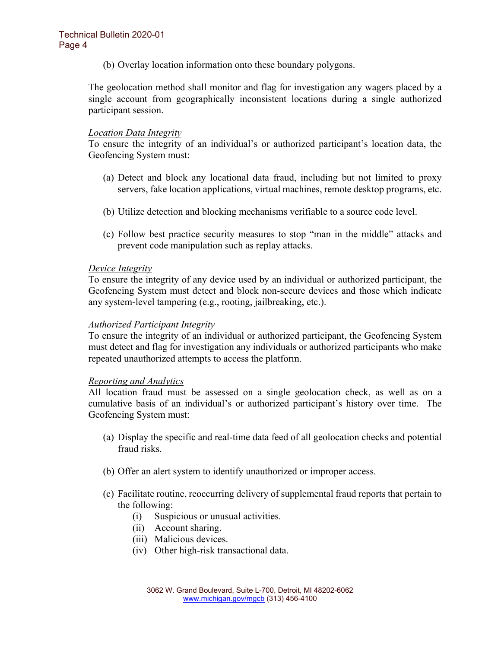(b) Overlay location information onto these boundary polygons.

The geolocation method shall monitor and flag for investigation any wagers placed by a single account from geographically inconsistent locations during a single authorized participant session.

### *Location Data Integrity*

To ensure the integrity of an individual's or authorized participant's location data, the Geofencing System must:

- (a) Detect and block any locational data fraud, including but not limited to proxy servers, fake location applications, virtual machines, remote desktop programs, etc.
- (b) Utilize detection and blocking mechanisms verifiable to a source code level.
- (c) Follow best practice security measures to stop "man in the middle" attacks and prevent code manipulation such as replay attacks.

### *Device Integrity*

To ensure the integrity of any device used by an individual or authorized participant, the Geofencing System must detect and block non-secure devices and those which indicate any system-level tampering (e.g., rooting, jailbreaking, etc.).

### *Authorized Participant Integrity*

To ensure the integrity of an individual or authorized participant, the Geofencing System must detect and flag for investigation any individuals or authorized participants who make repeated unauthorized attempts to access the platform.

### *Reporting and Analytics*

All location fraud must be assessed on a single geolocation check, as well as on a cumulative basis of an individual's or authorized participant's history over time. The Geofencing System must:

- (a) Display the specific and real-time data feed of all geolocation checks and potential fraud risks.
- (b) Offer an alert system to identify unauthorized or improper access.
- (c) Facilitate routine, reoccurring delivery of supplemental fraud reports that pertain to the following:
	- (i) Suspicious or unusual activities.
	- (ii) Account sharing.
	- (iii) Malicious devices.
	- (iv) Other high-risk transactional data.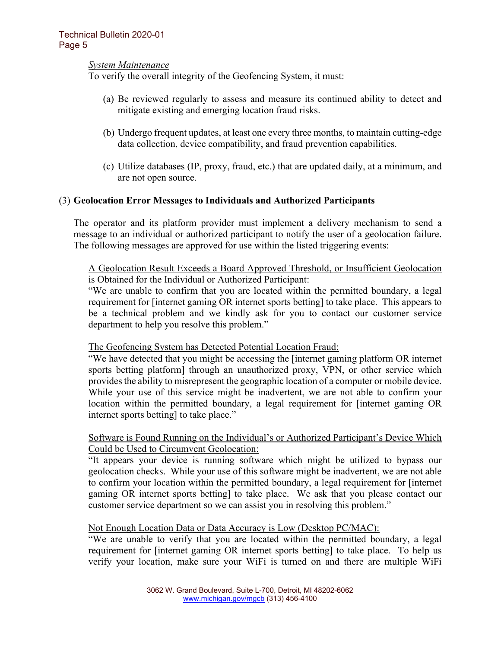### *System Maintenance*

To verify the overall integrity of the Geofencing System, it must:

- (a) Be reviewed regularly to assess and measure its continued ability to detect and mitigate existing and emerging location fraud risks.
- (b) Undergo frequent updates, at least one every three months, to maintain cutting-edge data collection, device compatibility, and fraud prevention capabilities.
- (c) Utilize databases (IP, proxy, fraud, etc.) that are updated daily, at a minimum, and are not open source.

### (3) **Geolocation Error Messages to Individuals and Authorized Participants**

The operator and its platform provider must implement a delivery mechanism to send a message to an individual or authorized participant to notify the user of a geolocation failure. The following messages are approved for use within the listed triggering events:

A Geolocation Result Exceeds a Board Approved Threshold, or Insufficient Geolocation is Obtained for the Individual or Authorized Participant:

"We are unable to confirm that you are located within the permitted boundary, a legal requirement for [internet gaming OR internet sports betting] to take place. This appears to be a technical problem and we kindly ask for you to contact our customer service department to help you resolve this problem."

### The Geofencing System has Detected Potential Location Fraud:

"We have detected that you might be accessing the [internet gaming platform OR internet sports betting platform] through an unauthorized proxy, VPN, or other service which provides the ability to misrepresent the geographic location of a computer or mobile device. While your use of this service might be inadvertent, we are not able to confirm your location within the permitted boundary, a legal requirement for [internet gaming OR internet sports betting] to take place."

### Software is Found Running on the Individual's or Authorized Participant's Device Which Could be Used to Circumvent Geolocation:

"It appears your device is running software which might be utilized to bypass our geolocation checks. While your use of this software might be inadvertent, we are not able to confirm your location within the permitted boundary, a legal requirement for [internet gaming OR internet sports betting] to take place. We ask that you please contact our customer service department so we can assist you in resolving this problem."

### Not Enough Location Data or Data Accuracy is Low (Desktop PC/MAC):

"We are unable to verify that you are located within the permitted boundary, a legal requirement for [internet gaming OR internet sports betting] to take place. To help us verify your location, make sure your WiFi is turned on and there are multiple WiFi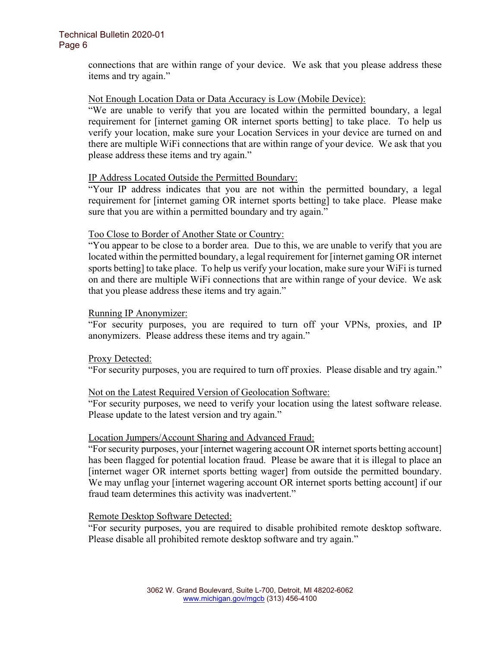### Technical Bulletin 2020-01 Page 6

connections that are within range of your device. We ask that you please address these items and try again."

### Not Enough Location Data or Data Accuracy is Low (Mobile Device):

"We are unable to verify that you are located within the permitted boundary, a legal requirement for [internet gaming OR internet sports betting] to take place. To help us verify your location, make sure your Location Services in your device are turned on and there are multiple WiFi connections that are within range of your device. We ask that you please address these items and try again."

### IP Address Located Outside the Permitted Boundary:

"Your IP address indicates that you are not within the permitted boundary, a legal requirement for [internet gaming OR internet sports betting] to take place. Please make sure that you are within a permitted boundary and try again."

#### Too Close to Border of Another State or Country:

"You appear to be close to a border area. Due to this, we are unable to verify that you are located within the permitted boundary, a legal requirement for [internet gaming OR internet sports betting] to take place. To help us verify your location, make sure your WiFi is turned on and there are multiple WiFi connections that are within range of your device. We ask that you please address these items and try again."

#### Running IP Anonymizer:

"For security purposes, you are required to turn off your VPNs, proxies, and IP anonymizers. Please address these items and try again."

### Proxy Detected:

"For security purposes, you are required to turn off proxies. Please disable and try again."

### Not on the Latest Required Version of Geolocation Software:

"For security purposes, we need to verify your location using the latest software release. Please update to the latest version and try again."

### Location Jumpers/Account Sharing and Advanced Fraud:

"For security purposes, your [internet wagering account OR internet sports betting account] has been flagged for potential location fraud. Please be aware that it is illegal to place an [internet wager OR internet sports betting wager] from outside the permitted boundary. We may unflag your [internet wagering account OR internet sports betting account] if our fraud team determines this activity was inadvertent."

#### Remote Desktop Software Detected:

"For security purposes, you are required to disable prohibited remote desktop software. Please disable all prohibited remote desktop software and try again."